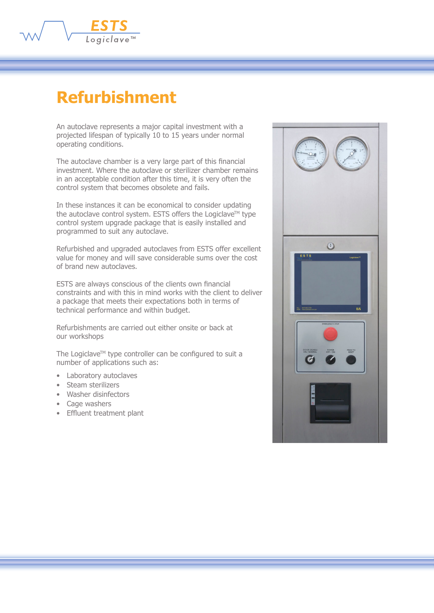

## **Refurbishment**

An autoclave represents a major capital investment with a projected lifespan of typically 10 to 15 years under normal operating conditions.

The autoclave chamber is a very large part of this financial investment. Where the autoclave or sterilizer chamber remains in an acceptable condition after this time, it is very often the control system that becomes obsolete and fails.

In these instances it can be economical to consider updating the autoclave control system. ESTS offers the Logiclave™ type control system upgrade package that is easily installed and programmed to suit any autoclave.

Refurbished and upgraded autoclaves from ESTS offer excellent value for money and will save considerable sums over the cost of brand new autoclaves.

ESTS are always conscious of the clients own financial constraints and with this in mind works with the client to deliver a package that meets their expectations both in terms of technical performance and within budget.

Refurbishments are carried out either onsite or back at our workshops

The Logiclave™ type controller can be configured to suit a number of applications such as:

- Laboratory autoclaves
- Steam sterilizers
- Washer disinfectors
- Cage washers
- Effluent treatment plant